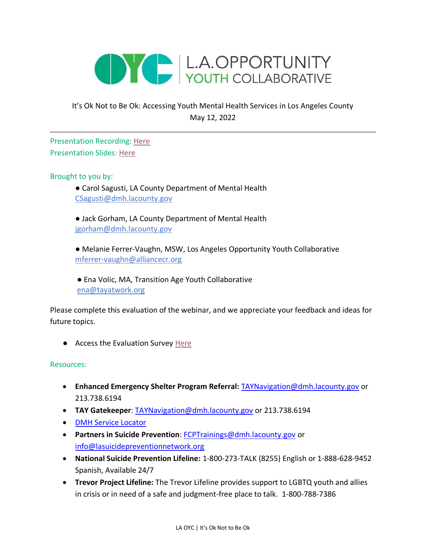

## It's Ok Not to Be Ok: Accessing Youth Mental Health Services in Los Angeles County May 12, 2022

Presentation Recording: [Here](https://drive.google.com/file/d/1YIi8GskF0UaBZ1wcAW1wRsawkQ3k66Rn/view?usp=sharing) Presentation Slides: [Here](https://drive.google.com/file/d/1P4o_X0vWDHAmob0NTSHKrg6D_fcs63rP/view?usp=sharing)

Brought to you by:

● Carol Sagusti, LA County Department of Mental Health [CSagusti@dmh.lacounty.gov](mailto:CSagusti@dmh.lacounty.gov)

● Jack Gorham, LA County Department of Mental Health jgorham@dmh.lacounty.gov

● Melanie Ferrer-Vaughn, MSW, Los Angeles Opportunity Youth Collaborative mferrer-vaughn@alliancecr.org

● Ena Volic, MA, Transition Age Youth Collaborative [ena@tayatwork.org](mailto:ena@tayatwork.org)

Please complete this evaluation of the webinar, and we appreciate your feedback and ideas for future topics.

● Access the Evaluation Survey [Here](https://www.surveymonkey.com/r/MLNK55R)

## Resources:

- **Enhanced Emergency Shelter Program Referral:** [TAYNavigation@dmh.lacounty.gov](mailto:TayNavigation@dmh.lacounty.gov) or 213.738.6194
- **TAY Gatekeeper**: [TAYNavigation@dmh.lacounty.gov](mailto:TayNavigation@dmh.lacounty.gov) or 213.738.6194
- [DMH Service Locator](https://dmh.lacounty.gov/pd/)
- **Partners in Suicide Prevention**: [FCPTrainings@dmh.lacounty.gov](mailto:FCPTrainings@dmh.lacounty.gov) or [info@lasuicidepreventionnetwork.org](mailto:info@lasuicidepreventionnetwork.org)
- **National Suicide Prevention Lifeline:** 1-800-273-TALK (8255) English or 1-888-628-9452 Spanish, Available 24/7
- **Trevor Project Lifeline:** The Trevor Lifeline provides support to LGBTQ youth and allies in crisis or in need of a safe and judgment-free place to talk. 1-800-788-7386